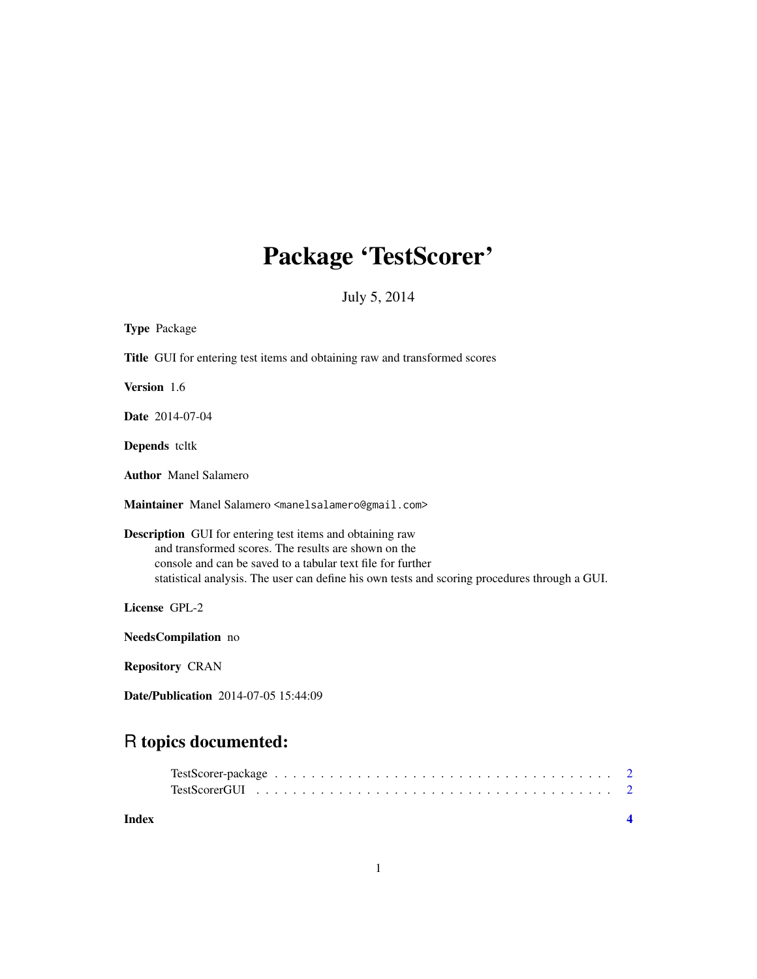# Package 'TestScorer'

July 5, 2014

| <b>Type Package</b>                                                                                                                                                                                                                                                                      |
|------------------------------------------------------------------------------------------------------------------------------------------------------------------------------------------------------------------------------------------------------------------------------------------|
| <b>Title</b> GUI for entering test items and obtaining raw and transformed scores                                                                                                                                                                                                        |
| Version 1.6                                                                                                                                                                                                                                                                              |
| <b>Date</b> 2014-07-04                                                                                                                                                                                                                                                                   |
| <b>Depends</b> teltk                                                                                                                                                                                                                                                                     |
| <b>Author</b> Manel Salamero                                                                                                                                                                                                                                                             |
| Maintainer Manel Salamero <manelsalamero@gmail.com></manelsalamero@gmail.com>                                                                                                                                                                                                            |
| <b>Description</b> GUI for entering test items and obtaining raw<br>and transformed scores. The results are shown on the<br>console and can be saved to a tabular text file for further<br>statistical analysis. The user can define his own tests and scoring procedures through a GUI. |
| License GPL-2                                                                                                                                                                                                                                                                            |
| NeedsCompilation no                                                                                                                                                                                                                                                                      |
| <b>Repository CRAN</b>                                                                                                                                                                                                                                                                   |
| <b>Date/Publication</b> 2014-07-05 15:44:09                                                                                                                                                                                                                                              |
|                                                                                                                                                                                                                                                                                          |

# R topics documented:

| Index |  |  |  |  |  |  |  |  |  |  |  |  |  |
|-------|--|--|--|--|--|--|--|--|--|--|--|--|--|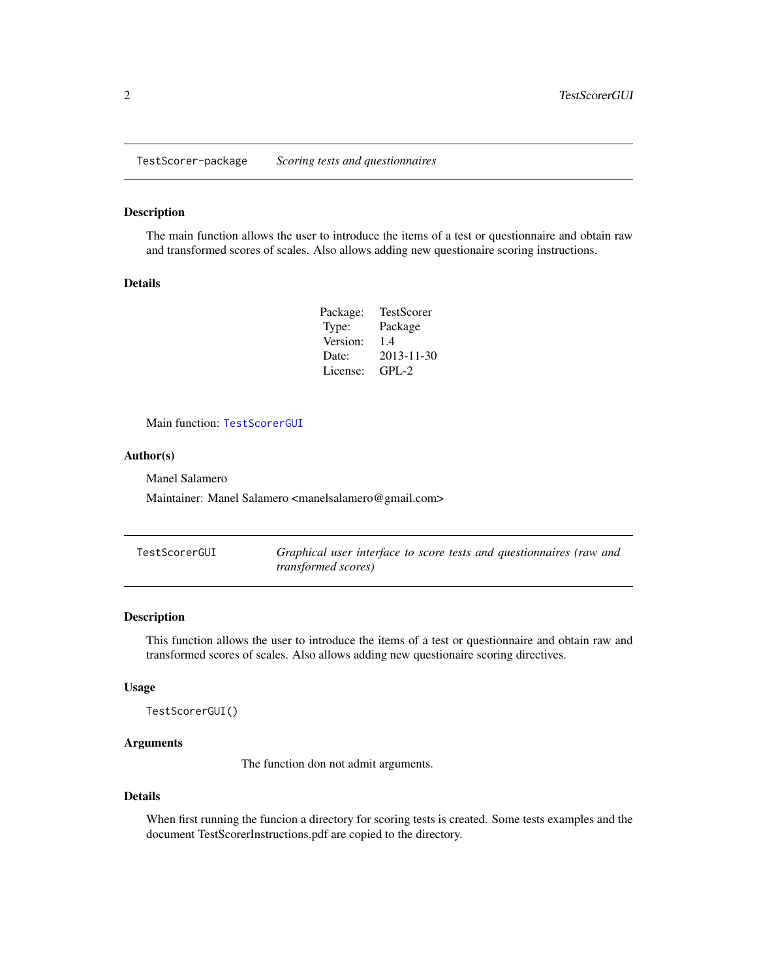<span id="page-1-0"></span>TestScorer-package *Scoring tests and questionnaires*

#### Description

The main function allows the user to introduce the items of a test or questionnaire and obtain raw and transformed scores of scales. Also allows adding new questionaire scoring instructions.

#### Details

| Package: | TestScorer |
|----------|------------|
| Type:    | Package    |
| Version: | 1.4        |
| Date:    | 2013-11-30 |
| License: | $GPI - 2$  |

Main function: [TestScorerGUI](#page-1-1)

#### Author(s)

Manel Salamero

Maintainer: Manel Salamero <manelsalamero@gmail.com>

<span id="page-1-1"></span>

| TestScorerGUI | Graphical user interface to score tests and questionnaires (raw and |
|---------------|---------------------------------------------------------------------|
|               | <i>transformed scores</i> )                                         |

#### Description

This function allows the user to introduce the items of a test or questionnaire and obtain raw and transformed scores of scales. Also allows adding new questionaire scoring directives.

#### Usage

TestScorerGUI()

#### Arguments

The function don not admit arguments.

#### Details

When first running the funcion a directory for scoring tests is created. Some tests examples and the document TestScorerInstructions.pdf are copied to the directory.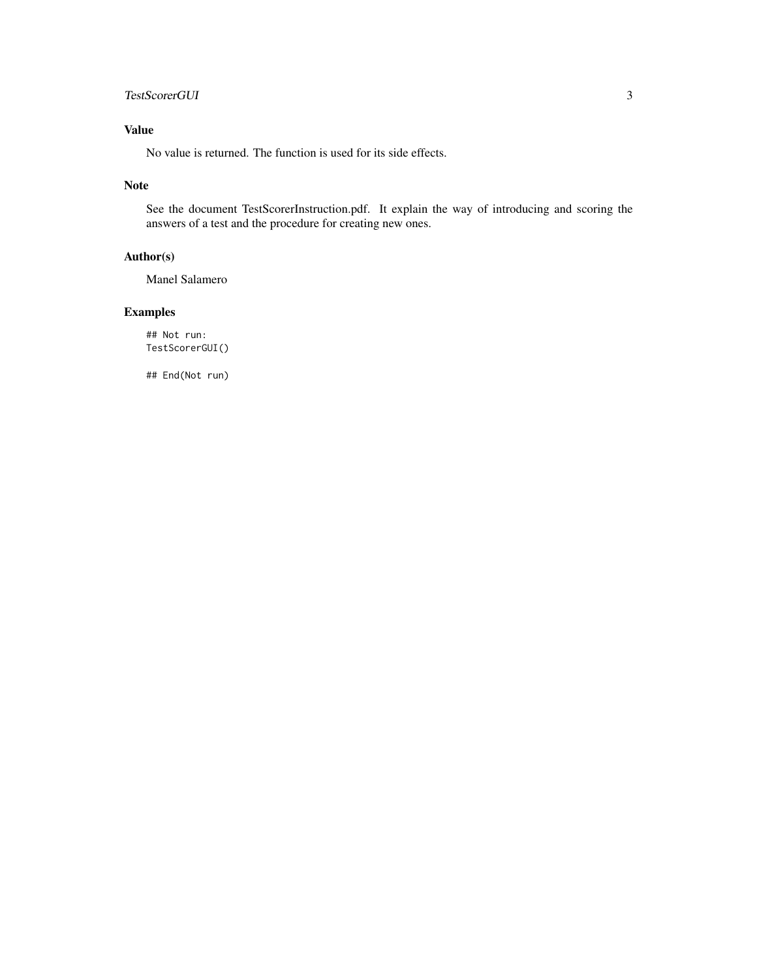### TestScorerGUI 3

## Value

No value is returned. The function is used for its side effects.

#### Note

See the document TestScorerInstruction.pdf. It explain the way of introducing and scoring the answers of a test and the procedure for creating new ones.

#### Author(s)

Manel Salamero

### Examples

## Not run: TestScorerGUI()

## End(Not run)